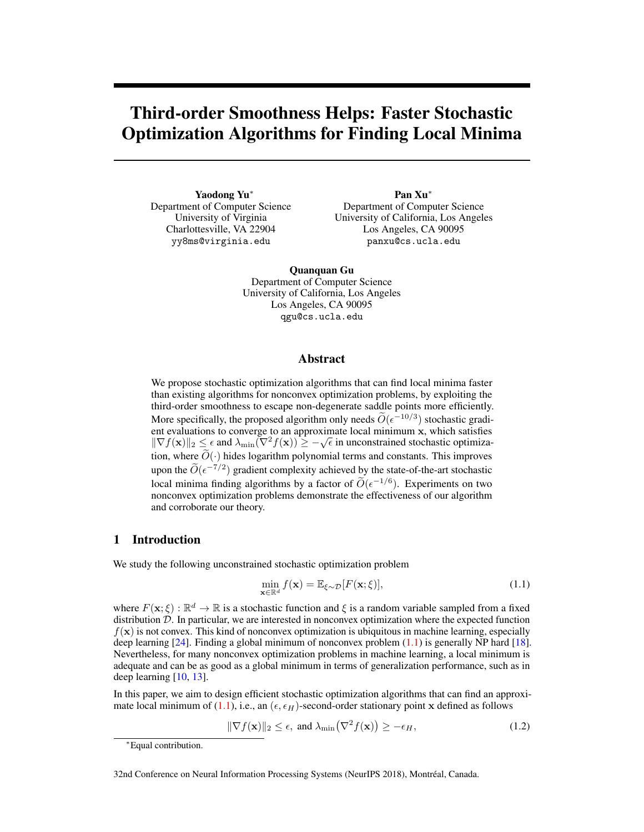# Third-order Smoothness Helps: Faster Stochastic Optimization Algorithms for Finding Local Minima

Yaodong Yu<sup>\*</sup> Department of Computer Science University of Virginia Charlottesville, VA 22904 yy8ms@virginia.edu

Pan Xu<sup>\*</sup> Department of Computer Science University of California, Los Angeles Los Angeles, CA 90095 panxu@cs.ucla.edu

Quanquan Gu Department of Computer Science University of California, Los Angeles Los Angeles, CA 90095 qgu@cs.ucla.edu

## Abstract

We propose stochastic optimization algorithms that can find local minima faster than existing algorithms for nonconvex optimization problems, by exploiting the third-order smoothness to escape non-degenerate saddle points more efficiently. More specifically, the proposed algorithm only needs  $\widetilde{O}(\epsilon^{-10/3})$  stochastic gradient evaluations to converge to an approximate local minimum x, which satisfies  $\|\nabla f(\mathbf{x})\|_2 \leq \epsilon$  and  $\lambda_{\min}(\nabla^2 f(\mathbf{x})) \geq -\sqrt{\epsilon}$  in unconstrained stochastic optimization, where  $\widetilde{O}(\cdot)$  hides logarithm polynomial terms and constants. This improves upon the  $\widetilde{O}(\epsilon^{-7/2})$  gradient complexity achieved by the state-of-the-art stochastic local minima finding algorithms by a factor of  $\widetilde{O}(\epsilon^{-1/6})$ . Experiments on two nonconvex optimization problems demonstrate the effectiveness of our algorithm and corroborate our theory.

# 1 Introduction

We study the following unconstrained stochastic optimization problem

$$
\min_{\mathbf{x} \in \mathbb{R}^d} f(\mathbf{x}) = \mathbb{E}_{\xi \sim \mathcal{D}}[F(\mathbf{x}; \xi)],\tag{1.1}
$$

where  $F(\mathbf{x}; \xi) : \mathbb{R}^d \to \mathbb{R}$  is a stochastic function and  $\xi$  is a random variable sampled from a fixed distribution *D*. In particular, we are interested in nonconvex optimization where the expected function  $f(\mathbf{x})$  is not convex. This kind of nonconvex optimization is ubiquitous in machine learning, especially deep learning  $[24]$ . Finding a global minimum of nonconvex problem  $(1.1)$  is generally NP hard  $[18]$ . Nevertheless, for many nonconvex optimization problems in machine learning, a local minimum is adequate and can be as good as a global minimum in terms of generalization performance, such as in deep learning [10, 13].

In this paper, we aim to design efficient stochastic optimization algorithms that can find an approximate local minimum of (1.1), i.e., an ( $\epsilon, \epsilon_H$ )-second-order stationary point x defined as follows

$$
\|\nabla f(\mathbf{x})\|_2 \le \epsilon, \text{ and } \lambda_{\min}(\nabla^2 f(\mathbf{x})) \ge -\epsilon_H,
$$
\n(1.2)

<sup>⇤</sup>Equal contribution.

<sup>32</sup>nd Conference on Neural Information Processing Systems (NeurIPS 2018), Montréal, Canada.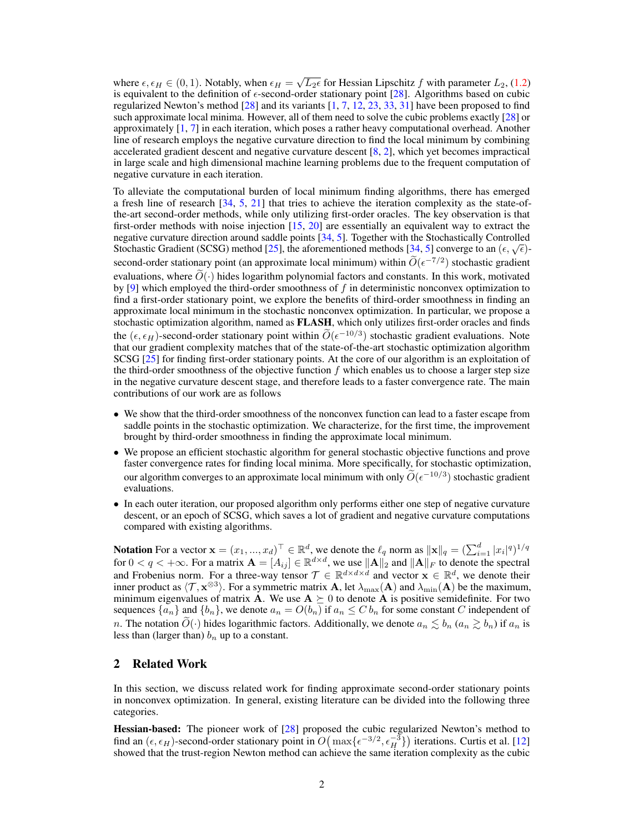where  $\epsilon, \epsilon_H \in (0, 1)$ . Notably, when  $\epsilon_H = \sqrt{L_2\epsilon}$  for Hessian Lipschitz *f* with parameter  $L_2$ , (1.2) is equivalent to the definition of  $\epsilon$ -second-order stationary point [28]. Algorithms based on cubic regularized Newton's method  $[28]$  and its variants  $[1, 7, 12, 23, 33, 31]$  have been proposed to find such approximate local minima. However, all of them need to solve the cubic problems exactly [28] or approximately [1, 7] in each iteration, which poses a rather heavy computational overhead. Another line of research employs the negative curvature direction to find the local minimum by combining accelerated gradient descent and negative curvature descent [8, 2], which yet becomes impractical in large scale and high dimensional machine learning problems due to the frequent computation of negative curvature in each iteration.

To alleviate the computational burden of local minimum finding algorithms, there has emerged a fresh line of research [34, 5, 21] that tries to achieve the iteration complexity as the state-ofthe-art second-order methods, while only utilizing first-order oracles. The key observation is that first-order methods with noise injection [15, 20] are essentially an equivalent way to extract the negative curvature direction around saddle points [34, 5]. Together with the Stochastically Controlled Stochastic Gradient (SCSG) method [25], the aforementioned methods [34, 5] converge to an  $(\epsilon, \sqrt{\epsilon})$ second-order stationary point (an approximate local minimum) within  $\widetilde{O}(\epsilon^{-7/2})$  stochastic gradient evaluations, where  $\widetilde{O}(\cdot)$  hides logarithm polynomial factors and constants. In this work, motivated by [9] which employed the third-order smoothness of *f* in deterministic nonconvex optimization to find a first-order stationary point, we explore the benefits of third-order smoothness in finding an approximate local minimum in the stochastic nonconvex optimization. In particular, we propose a stochastic optimization algorithm, named as FLASH, which only utilizes first-order oracles and finds the  $(\epsilon, \epsilon_H)$ -second-order stationary point within  $\widetilde{O}(\epsilon^{-10/3})$  stochastic gradient evaluations. Note that our gradient complexity matches that of the state-of-the-art stochastic optimization algorithm SCSG [25] for finding first-order stationary points. At the core of our algorithm is an exploitation of the third-order smoothness of the objective function *f* which enables us to choose a larger step size in the negative curvature descent stage, and therefore leads to a faster convergence rate. The main contributions of our work are as follows

- We show that the third-order smoothness of the nonconvex function can lead to a faster escape from saddle points in the stochastic optimization. We characterize, for the first time, the improvement brought by third-order smoothness in finding the approximate local minimum.
- We propose an efficient stochastic algorithm for general stochastic objective functions and prove faster convergence rates for finding local minima. More specifically, for stochastic optimization, our algorithm converges to an approximate local minimum with only  $\widetilde{O}(\epsilon^{-10/3})$  stochastic gradient evaluations.
- In each outer iteration, our proposed algorithm only performs either one step of negative curvature descent, or an epoch of SCSG, which saves a lot of gradient and negative curvature computations compared with existing algorithms.

Notation For a vector  $\mathbf{x} = (x_1, ..., x_d)^\top \in \mathbb{R}^d$ , we denote the  $\ell_q$  norm as  $\|\mathbf{x}\|_q = (\sum_{i=1}^d |x_i|^q)^{1/q}$ for  $0 < q < +\infty$ . For a matrix  $\mathbf{A} = [A_{ij}] \in \mathbb{R}^{d \times d}$ , we use  $\|\mathbf{A}\|_2$  and  $\|\mathbf{A}\|_F$  to denote the spectral and Frobenius norm. For a three-way tensor  $\mathcal{T} \in \mathbb{R}^{d \times d \times d}$  and vector  $\mathbf{x} \in \mathbb{R}^d$ , we denote their inner product as  $\langle T, \mathbf{x}^{\otimes 3} \rangle$ . For a symmetric matrix **A**, let  $\lambda_{\max}(\mathbf{A})$  and  $\lambda_{\min}(\mathbf{A})$  be the maximum, minimum eigenvalues of matrix A. We use  $A \succeq 0$  to denote A is positive semidefinite. For two sequences  $\{a_n\}$  and  $\{b_n\}$ , we denote  $a_n = O(b_n)$  if  $a_n \leq C b_n$  for some constant *C* independent of *n*. The notation  $\widetilde{O}(\cdot)$  hides logarithmic factors. Additionally, we denote  $a_n \lesssim b_n$  ( $a_n \gtrsim b_n$ ) if  $a_n$  is less than (larger than) *b<sup>n</sup>* up to a constant.

## 2 Related Work

In this section, we discuss related work for finding approximate second-order stationary points in nonconvex optimization. In general, existing literature can be divided into the following three categories.

Hessian-based: The pioneer work of [28] proposed the cubic regularized Newton's method to find an  $(\epsilon, \epsilon_H)$ -second-order stationary point in  $O(max{\epsilon^{-3/2}, \epsilon_H^{-3}})$  iterations. Curtis et al. [12] showed that the trust-region Newton method can achieve the same iteration complexity as the cubic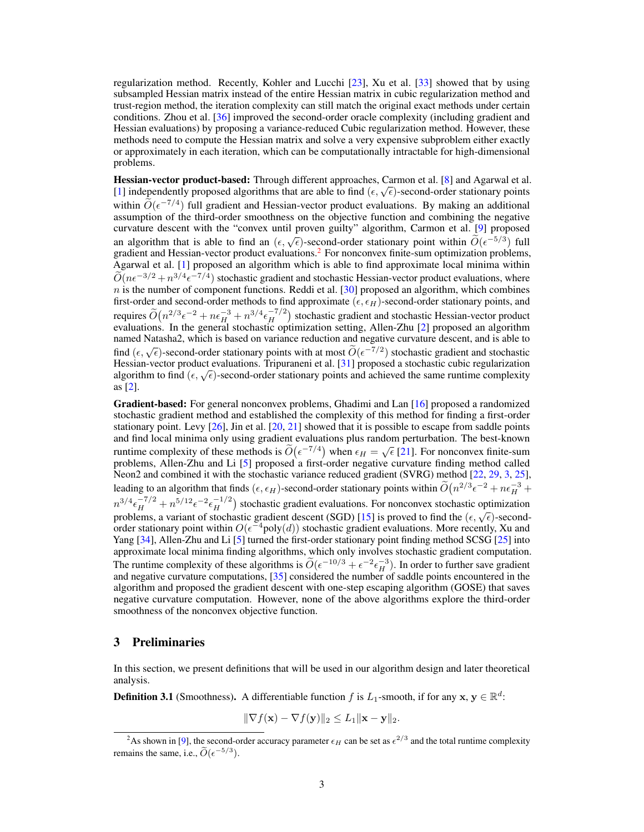regularization method. Recently, Kohler and Lucchi [23], Xu et al. [33] showed that by using subsampled Hessian matrix instead of the entire Hessian matrix in cubic regularization method and trust-region method, the iteration complexity can still match the original exact methods under certain conditions. Zhou et al. [36] improved the second-order oracle complexity (including gradient and Hessian evaluations) by proposing a variance-reduced Cubic regularization method. However, these methods need to compute the Hessian matrix and solve a very expensive subproblem either exactly or approximately in each iteration, which can be computationally intractable for high-dimensional problems.

Hessian-vector product-based: Through different approaches, Carmon et al. [8] and Agarwal et al. From Vector product stated. Through direction approaches, cannon order to  $\Gamma$ ,  $\Gamma$  and  $\Gamma$  gain will be an  $[1]$  independently proposed algorithms that are able to find  $(\epsilon, \sqrt{\epsilon})$ -second-order stationary points within  $\widetilde{O}(\epsilon^{-7/4})$  full gradient and Hessian-vector product evaluations. By making an additional assumption of the third-order smoothness on the objective function and combining the negative curvature descent with the "convex until proven guilty" algorithm, Carmon et al. [9] proposed an algorithm that is able to find an  $(\epsilon, \sqrt{\epsilon})$ -second-order stationary point within  $\tilde{O}(\epsilon^{-5/3})$  full gradient and Hessian-vector product evaluations.<sup>2</sup> For nonconvex finite-sum optimization problems, Agarwal et al. [1] proposed an algorithm which is able to find approximate local minima within  $\widetilde{O}(n\epsilon^{-3/2} + n^{3/4} \epsilon^{-7/4})$  stochastic gradient and stochastic Hessian-vector product evaluations, where  $n$  is the number of component functions. Reddi et al. [30] proposed an algorithm, which combines first-order and second-order methods to find approximate ( $\epsilon, \epsilon_H$ )-second-order stationary points, and requires  $\tilde{O}(n^{2/3} \epsilon^{-2} + n \epsilon_H^{-3} + n^{3/4} \epsilon_H^{-7/2})$  stochastic gradient and stochastic Hessian-vector product evaluations. In the general stochastic optimization setting, Allen-Zhu [2] proposed an algorithm named Natasha2, which is based on variance reduction and negative curvature descent, and is able to find  $(\epsilon, \sqrt{\epsilon})$ -second-order stationary points with at most  $\widetilde{O}(\epsilon^{-7/2})$  stochastic gradient and stochastic Hessian-vector product evaluations. Tripuraneni et al. [31] proposed a stochastic cubic regularization algorithm to find  $(\epsilon, \sqrt{\epsilon})$ -second-order stationary points and achieved the same runtime complexity as [2].

Gradient-based: For general nonconvex problems, Ghadimi and Lan [16] proposed a randomized stochastic gradient method and established the complexity of this method for finding a first-order stationary point. Levy  $[26]$ , Jin et al.  $[20, 21]$  showed that it is possible to escape from saddle points and find local minima only using gradient evaluations plus random perturbation. The best-known runtime complexity of these methods is  $\widetilde{O}(\epsilon^{-7/4})$  when  $\epsilon_H = \sqrt{\epsilon}$  [21]. For nonconvex finite-sum problems, Allen-Zhu and Li [5] proposed a first-order negative curvature finding method called Neon2 and combined it with the stochastic variance reduced gradient (SVRG) method [22, 29, 3, 25], leading to an algorithm that finds  $(\epsilon, \epsilon_H)$ -second-order stationary points within  $\tilde{O}(n^{2/3} \epsilon^{-2} + n \epsilon_H^{-3} +$  $n^{3/4} \epsilon_H^{-7/2} + n^{5/12} \epsilon^{-2} \epsilon_H^{-1/2}$ ) stochastic gradient evaluations. For nonconvex stochastic optimization problems, a variant of stochastic gradient descent (SGD) [15] is proved to find the  $(\epsilon, \sqrt{\epsilon})$ -secondorder stationary point within  $O(\epsilon^{-4}$ poly $(d)$ ) stochastic gradient evaluations. More recently, Xu and Yang [34], Allen-Zhu and Li [5] turned the first-order stationary point finding method SCSG [25] into approximate local minima finding algorithms, which only involves stochastic gradient computation. The runtime complexity of these algorithms is  $\widetilde{O}(\epsilon^{-10/3} + \epsilon^{-2} \epsilon_H^{-3})$ . In order to further save gradient and negative curvature computations, [35] considered the number of saddle points encountered in the algorithm and proposed the gradient descent with one-step escaping algorithm (GOSE) that saves negative curvature computation. However, none of the above algorithms explore the third-order smoothness of the nonconvex objective function.

# 3 Preliminaries

In this section, we present definitions that will be used in our algorithm design and later theoretical analysis.

**Definition 3.1** (Smoothness). A differentiable function f is  $L_1$ -smooth, if for any  $x, y \in \mathbb{R}^d$ :

$$
\|\nabla f(\mathbf{x}) - \nabla f(\mathbf{y})\|_2 \le L_1 \|\mathbf{x} - \mathbf{y}\|_2.
$$

<sup>&</sup>lt;sup>2</sup>As shown in [9], the second-order accuracy parameter  $\epsilon_H$  can be set as  $\epsilon^{2/3}$  and the total runtime complexity remains the same, i.e.,  $\widetilde{O}(\epsilon^{-5/3})$ .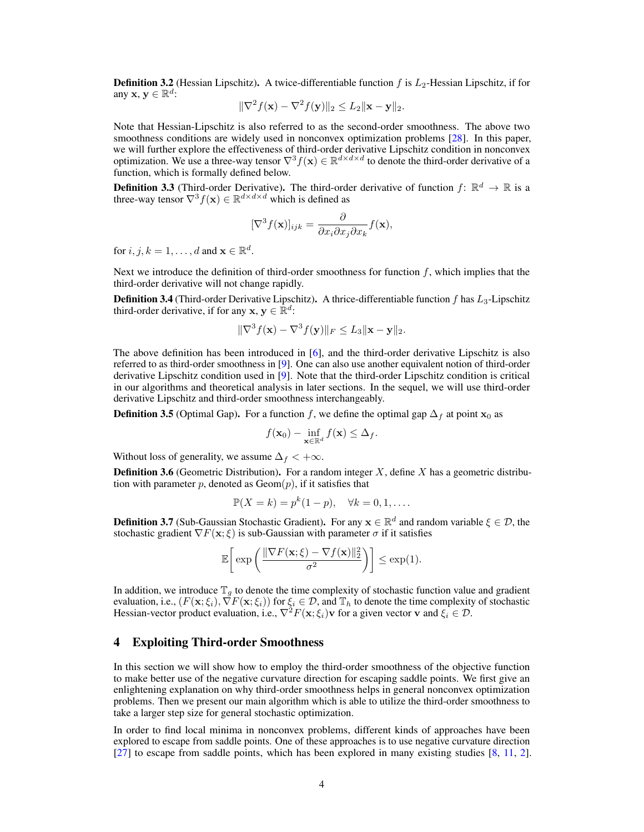Definition 3.2 (Hessian Lipschitz). A twice-differentiable function *f* is  $L_2$ -Hessian Lipschitz, if for any **x**,  $\mathbf{v} \in \mathbb{R}^d$ :

$$
\|\nabla^2 f(\mathbf{x}) - \nabla^2 f(\mathbf{y})\|_2 \le L_2 \|\mathbf{x} - \mathbf{y}\|_2.
$$

Note that Hessian-Lipschitz is also referred to as the second-order smoothness. The above two smoothness conditions are widely used in nonconvex optimization problems [28]. In this paper, we will further explore the effectiveness of third-order derivative Lipschitz condition in nonconvex optimization. We use a three-way tensor  $\nabla^3 f(\mathbf{x}) \in \mathbb{R}^{d \times d \times d}$  to denote the third-order derivative of a function, which is formally defined below.

**Definition 3.3** (Third-order Derivative). The third-order derivative of function  $f: \mathbb{R}^d \to \mathbb{R}$  is a three-way tensor  $\nabla^3 f(\mathbf{x}) \in \mathbb{R}^{d \times d \times d}$  which is defined as

$$
[\nabla^3 f(\mathbf{x})]_{ijk} = \frac{\partial}{\partial x_i \partial x_j \partial x_k} f(\mathbf{x}),
$$

for *i*, *j*, *k* = 1, ..., *d* and  $\mathbf{x} \in \mathbb{R}^d$ .

Next we introduce the definition of third-order smoothness for function *f*, which implies that the third-order derivative will not change rapidly.

Definition 3.4 (Third-order Derivative Lipschitz). A thrice-differentiable function *f* has *L*3-Lipschitz third-order derivative, if for any  $x, y \in \mathbb{R}^d$ :

$$
\|\nabla^3 f(\mathbf{x}) - \nabla^3 f(\mathbf{y})\|_F \le L_3 \|\mathbf{x} - \mathbf{y}\|_2.
$$

The above definition has been introduced in [6], and the third-order derivative Lipschitz is also referred to as third-order smoothness in [9]. One can also use another equivalent notion of third-order derivative Lipschitz condition used in [9]. Note that the third-order Lipschitz condition is critical in our algorithms and theoretical analysis in later sections. In the sequel, we will use third-order derivative Lipschitz and third-order smoothness interchangeably.

**Definition 3.5** (Optimal Gap). For a function *f*, we define the optimal gap  $\Delta_f$  at point  $\mathbf{x}_0$  as

$$
f(\mathbf{x}_0) - \inf_{\mathbf{x} \in \mathbb{R}^d} f(\mathbf{x}) \leq \Delta_f.
$$

Without loss of generality, we assume  $\Delta_f < +\infty$ .

Definition 3.6 (Geometric Distribution). For a random integer *X*, define *X* has a geometric distribution with parameter  $p$ , denoted as  $Geom(p)$ , if it satisfies that

$$
\mathbb{P}(X = k) = p^k(1-p), \quad \forall k = 0, 1, \dots.
$$

**Definition 3.7** (Sub-Gaussian Stochastic Gradient). For any  $\mathbf{x} \in \mathbb{R}^d$  and random variable  $\xi \in \mathcal{D}$ , the stochastic gradient  $\nabla F(\mathbf{x}; \xi)$  is sub-Gaussian with parameter  $\sigma$  if it satisfies

$$
\mathbb{E}\bigg[\exp\bigg(\frac{\|\nabla F(\mathbf{x};\xi)-\nabla f(\mathbf{x})\|_2^2}{\sigma^2}\bigg)\bigg]\leq \exp(1).
$$

In addition, we introduce  $\mathbb{T}_q$  to denote the time complexity of stochastic function value and gradient evaluation, i.e.,  $(F(\mathbf{x}; \xi_i), \nabla F(\mathbf{x}; \xi_i))$  for  $\xi_i \in \mathcal{D}$ , and  $\mathbb{T}_h$  to denote the time complexity of stochastic Hessian-vector product evaluation, i.e.,  $\nabla^2 F(\mathbf{x}; \xi_i)$  v for a given vector v and  $\xi_i \in \mathcal{D}$ .

#### 4 Exploiting Third-order Smoothness

In this section we will show how to employ the third-order smoothness of the objective function to make better use of the negative curvature direction for escaping saddle points. We first give an enlightening explanation on why third-order smoothness helps in general nonconvex optimization problems. Then we present our main algorithm which is able to utilize the third-order smoothness to take a larger step size for general stochastic optimization.

In order to find local minima in nonconvex problems, different kinds of approaches have been explored to escape from saddle points. One of these approaches is to use negative curvature direction [27] to escape from saddle points, which has been explored in many existing studies [8, 11, 2].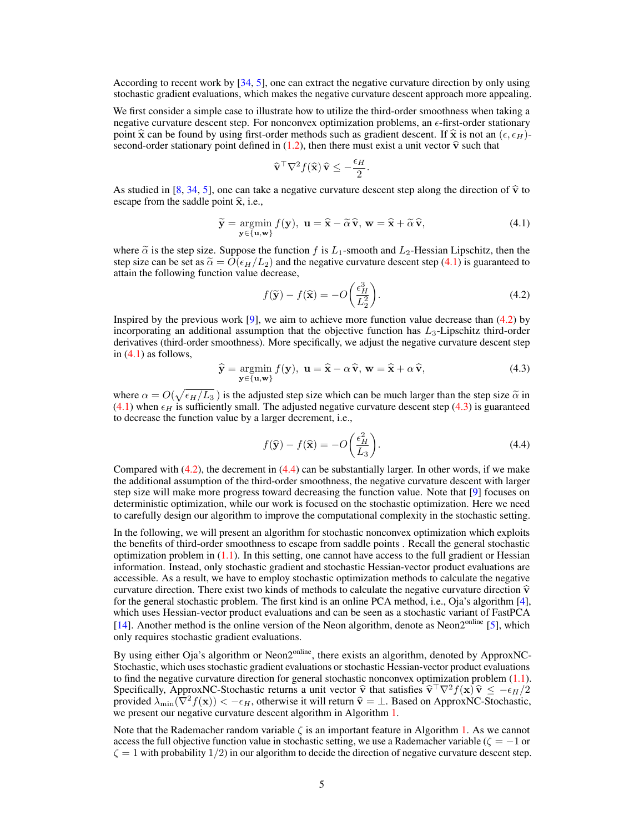According to recent work by [34, 5], one can extract the negative curvature direction by only using stochastic gradient evaluations, which makes the negative curvature descent approach more appealing.

We first consider a simple case to illustrate how to utilize the third-order smoothness when taking a negative curvature descent step. For nonconvex optimization problems, an  $\epsilon$ -first-order stationary point  $\hat{\mathbf{x}}$  can be found by using first-order methods such as gradient descent. If  $\hat{\mathbf{x}}$  is not an  $(\epsilon, \epsilon_H)$ second-order stationary point defined in (1.2), then there must exist a unit vector  $\hat{v}$  such that

$$
\widehat{\mathbf{v}}^{\top} \nabla^2 f(\widehat{\mathbf{x}}) \widehat{\mathbf{v}} \le -\frac{\epsilon_H}{2}.
$$

As studied in [8, 34, 5], one can take a negative curvature descent step along the direction of  $\hat{v}$  to escape from the saddle point  $\hat{x}$ , i.e.,

$$
\widetilde{\mathbf{y}} = \underset{\mathbf{y} \in \{\mathbf{u}, \mathbf{w}\}}{\operatorname{argmin}} f(\mathbf{y}), \ \mathbf{u} = \widehat{\mathbf{x}} - \widetilde{\alpha}\,\widehat{\mathbf{v}}, \ \mathbf{w} = \widehat{\mathbf{x}} + \widetilde{\alpha}\,\widehat{\mathbf{v}}, \tag{4.1}
$$

where  $\tilde{\alpha}$  is the step size. Suppose the function *f* is  $L_1$ -smooth and  $L_2$ -Hessian Lipschitz, then the step size can be set as  $\tilde{\alpha} = O(\epsilon_H/L_2)$  and the negative curvature descent step (4.1) is guaranteed to attain the following function value decrease,

$$
f(\widetilde{\mathbf{y}}) - f(\widehat{\mathbf{x}}) = -O\left(\frac{\epsilon_H^3}{L_2^2}\right).
$$
 (4.2)

Inspired by the previous work  $[9]$ , we aim to achieve more function value decrease than  $(4.2)$  by incorporating an additional assumption that the objective function has *L*3-Lipschitz third-order derivatives (third-order smoothness). More specifically, we adjust the negative curvature descent step in (4.1) as follows,

$$
\widehat{\mathbf{y}} = \underset{\mathbf{y} \in \{\mathbf{u}, \mathbf{w}\}}{\operatorname{argmin}} f(\mathbf{y}), \ \mathbf{u} = \widehat{\mathbf{x}} - \alpha \widehat{\mathbf{v}}, \ \mathbf{w} = \widehat{\mathbf{x}} + \alpha \widehat{\mathbf{v}}, \tag{4.3}
$$

where  $\alpha = O(\sqrt{\epsilon_H/L_3})$  is the adjusted step size which can be much larger than the step size  $\tilde{\alpha}$  in (4.1) when  $\epsilon$  is outfinishly small. The adjusted positive outwarding desert step (4.2) is our entered  $(4.1)$  when  $\epsilon_H$  is sufficiently small. The adjusted negative curvature descent step  $(4.3)$  is guaranteed to decrease the function value by a larger decrement, i.e.,

$$
f(\hat{\mathbf{y}}) - f(\hat{\mathbf{x}}) = -O\left(\frac{\epsilon_H^2}{L_3}\right).
$$
\n(4.4)

Compared with  $(4.2)$ , the decrement in  $(4.4)$  can be substantially larger. In other words, if we make the additional assumption of the third-order smoothness, the negative curvature descent with larger step size will make more progress toward decreasing the function value. Note that [9] focuses on deterministic optimization, while our work is focused on the stochastic optimization. Here we need to carefully design our algorithm to improve the computational complexity in the stochastic setting.

In the following, we will present an algorithm for stochastic nonconvex optimization which exploits the benefits of third-order smoothness to escape from saddle points . Recall the general stochastic optimization problem in  $(1.1)$ . In this setting, one cannot have access to the full gradient or Hessian information. Instead, only stochastic gradient and stochastic Hessian-vector product evaluations are accessible. As a result, we have to employ stochastic optimization methods to calculate the negative curvature direction. There exist two kinds of methods to calculate the negative curvature direction  $\hat{v}$ for the general stochastic problem. The first kind is an online PCA method, i.e., Oja's algorithm [4], which uses Hessian-vector product evaluations and can be seen as a stochastic variant of FastPCA [14]. Another method is the online version of the Neon algorithm, denote as Neon2<sup>online</sup> [5], which only requires stochastic gradient evaluations.

By using either Oja's algorithm or Neon $2^{\text{online}}$ , there exists an algorithm, denoted by ApproxNC-Stochastic, which uses stochastic gradient evaluations or stochastic Hessian-vector product evaluations to find the negative curvature direction for general stochastic nonconvex optimization problem  $(1.1)$ . Specifically, ApproxNC-Stochastic returns a unit vector  $\hat{\mathbf{v}}$  that satisfies  $\hat{\mathbf{v}}^{\top}\nabla^2 f(\mathbf{x})\hat{\mathbf{v}} \le -\epsilon_H/2$ provided  $\lambda_{\min}(\nabla^2 f(\mathbf{x})) < -\epsilon_H$ , otherwise it will return  $\hat{\mathbf{v}} = \perp$ . Based on ApproxNC-Stochastic, we present our negative curvature descent algorithm in Algorithm 1.

Note that the Rademacher random variable  $\zeta$  is an important feature in Algorithm 1. As we cannot access the full objective function value in stochastic setting, we use a Rademacher variable ( $\zeta = -1$  or  $\zeta = 1$  with probability  $1/2$ ) in our algorithm to decide the direction of negative curvature descent step.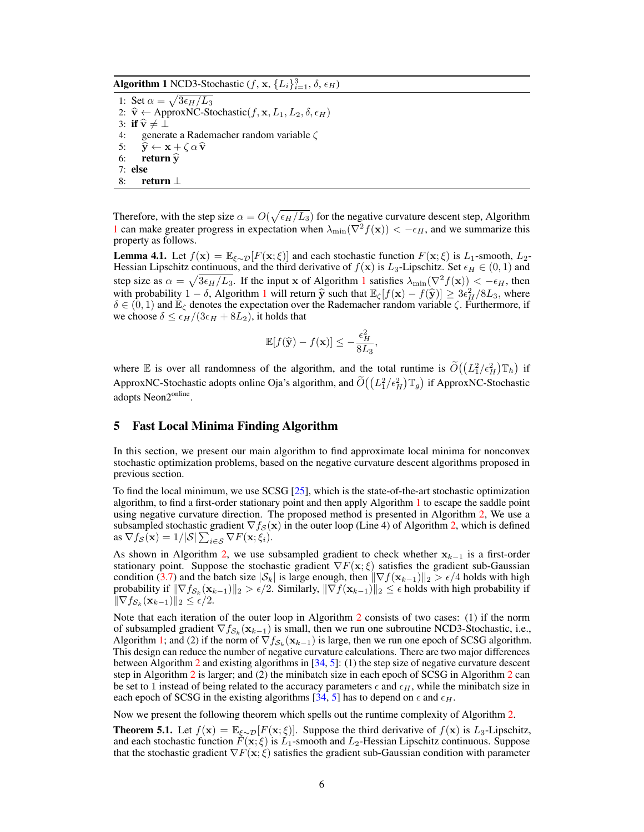Algorithm 1 NCD3-Stochastic  $(f, x, \{L_i\}_{i=1}^3, \delta, \epsilon_H)$ 

1: Set  $\alpha = \sqrt{3\epsilon_H/L_3}$ 2:  $\hat{\mathbf{v}} \leftarrow$  ApproxNC-Stochastic( $f, \mathbf{x}, L_1, L_2, \delta, \epsilon_H$ ) 3: if  $\widehat{\mathbf{v}} \neq \bot$ <br>4: genera generate a Rademacher random variable  $\zeta$ 5:  $\hat{y} \leftarrow x + \zeta \alpha \hat{v}$ <br>6: **return**  $\hat{v}$ return  $\hat{y}$ 7: else 8: return  $\perp$ 

Therefore, with the step size  $\alpha = O(\sqrt{\epsilon_H/L_3})$  for the negative curvature descent step, Algorithm 1 can make greater progress in expectation when  $\lambda_{\min}(\nabla^2 f(\mathbf{x})) < -\epsilon_H$ , and we summarize this property as follows.

**Lemma 4.1.** Let  $f(\mathbf{x}) = \mathbb{E}_{\xi \sim \mathcal{D}}[F(\mathbf{x}; \xi)]$  and each stochastic function  $F(\mathbf{x}; \xi)$  is  $L_1$ -smooth,  $L_2$ -Hessian Lipschitz continuous, and the third derivative of  $f(\mathbf{x})$  is  $L_3$ -Lipschitz. Set  $\epsilon_H \in (0,1)$  and step size as  $\alpha = \sqrt{3\epsilon_H/L_3}$ . If the input x of Algorithm 1 satisfies  $\lambda_{\min}(\nabla^2 f(\mathbf{x})) < -\epsilon_H$ , then with probability  $1 - \delta$ , Algorithm 1 will return  $\hat{y}$  such that  $\mathbb{E}_{\zeta}[f(\mathbf{x}) - f(\hat{y})] \geq 3\epsilon_H^2/8L_3$ , where  $\delta \in (0, 1)$  and  $\mathbb{E}_{\zeta}$  denotes the aveceptation over the Bedemeeter random variable  $\zeta$  Eurtherm  $\delta \in (0,1)$  and  $\mathbb{E}_{\zeta}$  denotes the expectation over the Rademacher random variable  $\zeta$ . Furthermore, if we choose  $\delta \leq \epsilon_H/(3\epsilon_H + 8L_2)$ , it holds that

$$
\mathbb{E}[f(\widehat{\mathbf{y}}) - f(\mathbf{x})] \le -\frac{\epsilon_H^2}{8L_3},
$$

where E is over all randomness of the algorithm, and the total runtime is  $\tilde{O}((L_1^2/\epsilon_H^2) \mathbb{T}_h)$  if ApproxNC-Stochastic adopts online Oja's algorithm, and  $\tilde{O}((L_1^2/\epsilon_H^2) \mathbb{T}_g)$  if ApproxNC-Stochastic adopts Neon2<sup>online</sup>.

#### 5 Fast Local Minima Finding Algorithm

In this section, we present our main algorithm to find approximate local minima for nonconvex stochastic optimization problems, based on the negative curvature descent algorithms proposed in previous section.

To find the local minimum, we use SCSG [25], which is the state-of-the-art stochastic optimization algorithm, to find a first-order stationary point and then apply Algorithm 1 to escape the saddle point using negative curvature direction. The proposed method is presented in Algorithm 2, We use a subsampled stochastic gradient  $\nabla f_{\mathcal{S}}(\mathbf{x})$  in the outer loop (Line 4) of Algorithm 2, which is defined as  $\nabla f_{\mathcal{S}}(\mathbf{x}) = 1/|\mathcal{S}| \sum_{i \in \mathcal{S}} \nabla F(\mathbf{x}; \xi_i)$ .

As shown in Algorithm 2, we use subsampled gradient to check whether  $x_{k-1}$  is a first-order stationary point. Suppose the stochastic gradient  $\nabla F(\mathbf{x}; \xi)$  satisfies the gradient sub-Gaussian condition (3.7) and the batch size  $|\mathcal{S}_k|$  is large enough, then  $\|\nabla f(\mathbf{x}_{k-1})\|_2 > \epsilon/4$  holds with high probability if  $\|\nabla f_{S_k}(\mathbf{x}_{k-1})\|_2 > \epsilon/2$ . Similarly,  $\|\nabla f(\mathbf{x}_{k-1})\|_2 \leq \epsilon$  holds with high probability if  $\|\nabla f_{\mathcal{S}_k}(\mathbf{x}_{k-1})\|_2 \leq \epsilon/2.$ 

Note that each iteration of the outer loop in Algorithm 2 consists of two cases: (1) if the norm of subsampled gradient  $\nabla f_{S_k}(\mathbf{x}_{k-1})$  is small, then we run one subroutine NCD3-Stochastic, i.e., Algorithm 1; and (2) if the norm of  $\nabla f_{S_k}(\mathbf{x}_{k-1})$  is large, then we run one epoch of SCSG algorithm. This design can reduce the number of negative curvature calculations. There are two major differences between Algorithm 2 and existing algorithms in  $[34, 5]$ : (1) the step size of negative curvature descent step in Algorithm 2 is larger; and (2) the minibatch size in each epoch of SCSG in Algorithm 2 can be set to 1 instead of being related to the accuracy parameters  $\epsilon$  and  $\epsilon$ <sub>H</sub>, while the minibatch size in each epoch of SCSG in the existing algorithms [34, 5] has to depend on  $\epsilon$  and  $\epsilon_H$ .

Now we present the following theorem which spells out the runtime complexity of Algorithm 2.

**Theorem 5.1.** Let  $f(\mathbf{x}) = \mathbb{E}_{\xi \sim \mathcal{D}}[F(\mathbf{x}; \xi)]$ . Suppose the third derivative of  $f(\mathbf{x})$  is  $L_3$ -Lipschitz, and each stochastic function  $\vec{F}(\mathbf{x}; \xi)$  is  $\vec{L_1}$ -smooth and  $\vec{L_2}$ -Hessian Lipschitz continuous. Suppose that the stochastic gradient  $\nabla F(\mathbf{x}; \xi)$  satisfies the gradient sub-Gaussian condition with parameter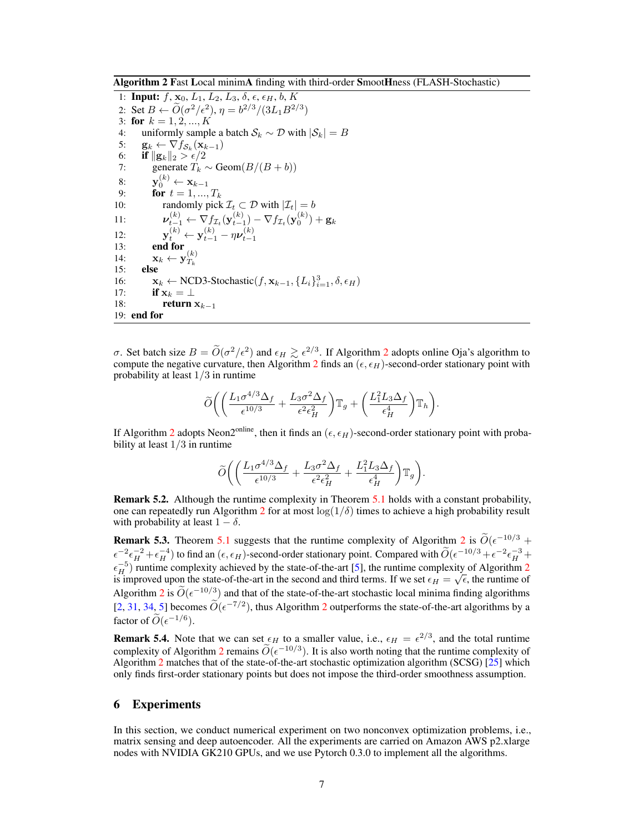Algorithm 2 Fast Local minimA finding with third-order SmootHness (FLASH-Stochastic)

1: **Input:**  $f$ ,  $\mathbf{x}_0$ ,  $L_1$ ,  $L_2$ ,  $L_3$ ,  $\delta$ ,  $\epsilon$ ,  $\epsilon_H$ ,  $b$ ,  $K$ 2: Set  $B \leftarrow \widetilde{O}(\sigma^2/\epsilon^2), \eta = b^{2/3}/(3L_1B^{2/3})$ 3: **for**  $k = 1, 2, ..., K$ 4: uniformly sample a batch  $S_k \sim \mathcal{D}$  with  $|S_k| = B$ <br>5:  $\mathbf{g}_k \leftarrow \nabla f_{S_k}(\mathbf{x}_{k-1})$ 5:  $\mathbf{g}_k \leftarrow \nabla f_{\mathcal{S}_k}(\mathbf{x}_{k-1})$ <br>6: **if**  $\|\mathbf{g}_k\|_2 > \epsilon/2$ 6: **if**  $\|{\bf g}_k\|_2 > \frac{\epsilon}{2}$ 7: generate  $T_k \sim \text{Geom}(B/(B+b))$ 8:  $\mathbf{y}_0^{(k)} \leftarrow \mathbf{x}_{k-1}$ 9: **for**  $t = 1, ..., T_k$ 10: randomly pick  $\mathcal{I}_t \subset \mathcal{D}$  with  $|\mathcal{I}_t| = b$ 11:  $\nu_{t-1}^{(k)} \leftarrow \nabla f_{\mathcal{I}_t}(\mathbf{y}_{t-1}^{(k)}) - \nabla f_{\mathcal{I}_t}(\mathbf{y}_0^{(k)}) + \mathbf{g}_k$ 12:  $y_t^{(k)} \leftarrow y_{t-1}^{(k)} - \eta \nu_{t-1}^{(k)}$ <br>
13: **end for**<br>  $\mathbf{x}_k \leftarrow \mathbf{y}_{T_k}^{(k)}$ 15: else 16:  $\mathbf{x}_k \leftarrow \text{NCD3-Stochastic}(f, \mathbf{x}_{k-1}, \{L_i\}_{i=1}^3, \delta, \epsilon_H)$ 17: **if**  $\mathbf{x}_k = \perp$ <br>18: **return** return  $x_{k-1}$ 19: end for

 $\sigma$ . Set batch size  $B = \widetilde{O}(\sigma^2/\epsilon^2)$  and  $\epsilon_H \gtrsim \epsilon^{2/3}$ . If Algorithm 2 adopts online Oja's algorithm to compute the negative curvature, then Algorithm 2 finds an  $(\epsilon, \epsilon_H)$ -second-order stationary point with probability at least 1*/*3 in runtime

$$
\widetilde{O}\bigg(\bigg(\frac{L_1\sigma^{4/3}\Delta_f}{\epsilon^{10/3}}+\frac{L_3\sigma^2\Delta_f}{\epsilon^2\epsilon_H^2}\bigg)\mathbb{T}_g+\bigg(\frac{L_1^2L_3\Delta_f}{\epsilon_H^4}\bigg)\mathbb{T}_h\bigg).
$$

If Algorithm 2 adopts Neon2<sup>online</sup>, then it finds an  $(\epsilon, \epsilon_H)$ -second-order stationary point with probability at least 1*/*3 in runtime

$$
\widetilde{O}\bigg(\bigg(\frac{L_1\sigma^{4/3}\Delta_f}{\epsilon^{10/3}}+\frac{L_3\sigma^2\Delta_f}{\epsilon^2\epsilon_H^2}+\frac{L_1^2L_3\Delta_f}{\epsilon_H^4}\bigg)\mathbb{T}_g\bigg).
$$

Remark 5.2. Although the runtime complexity in Theorem 5.1 holds with a constant probability, one can repeatedly run Algorithm 2 for at most  $\log(1/\delta)$  times to achieve a high probability result with probability at least  $1 - \delta$ .

**Remark 5.3.** Theorem 5.1 suggests that the runtime complexity of Algorithm 2 is  $\widetilde{O}(\epsilon^{-10/3} +$  $\epsilon^{-2} \epsilon^{-2}_H + \epsilon^{-4}_H$ ) to find an  $(\epsilon, \epsilon_H)$ -second-order stationary point. Compared with  $\widetilde{O}(\epsilon^{-10/3} + \epsilon^{-2} \epsilon^{-3}_H +$  $\epsilon_H^{-5}$ ) runtime complexity achieved by the state-of-the-art [5], the runtime complexity of Algorithm 2 is improved upon the state-of-the-art in the second and third terms. If we set  $\epsilon_H = \sqrt{\epsilon}$ , the runtime of Algorithm 2 is  $\widetilde{O}(\epsilon^{-10/3})$  and that of the state-of-the-art stochastic local minima finding algorithms [2, 31, 34, 5] becomes  $\widetilde{O}(\epsilon^{-7/2})$ , thus Algorithm 2 outperforms the state-of-the-art algorithms by a factor of  $\widetilde{O}(\epsilon^{-1/6})$ .

**Remark 5.4.** Note that we can set  $\epsilon_H$  to a smaller value, i.e.,  $\epsilon_H = \epsilon^{2/3}$ , and the total runtime complexity of Algorithm 2 remains  $\widetilde{O}(\epsilon^{-10/3})$ . It is also worth noting that the runtime complexity of Algorithm 2 matches that of the state-of-the-art stochastic optimization algorithm (SCSG) [25] which only finds first-order stationary points but does not impose the third-order smoothness assumption.

### 6 Experiments

In this section, we conduct numerical experiment on two nonconvex optimization problems, i.e., matrix sensing and deep autoencoder. All the experiments are carried on Amazon AWS p2.xlarge nodes with NVIDIA GK210 GPUs, and we use Pytorch 0.3.0 to implement all the algorithms.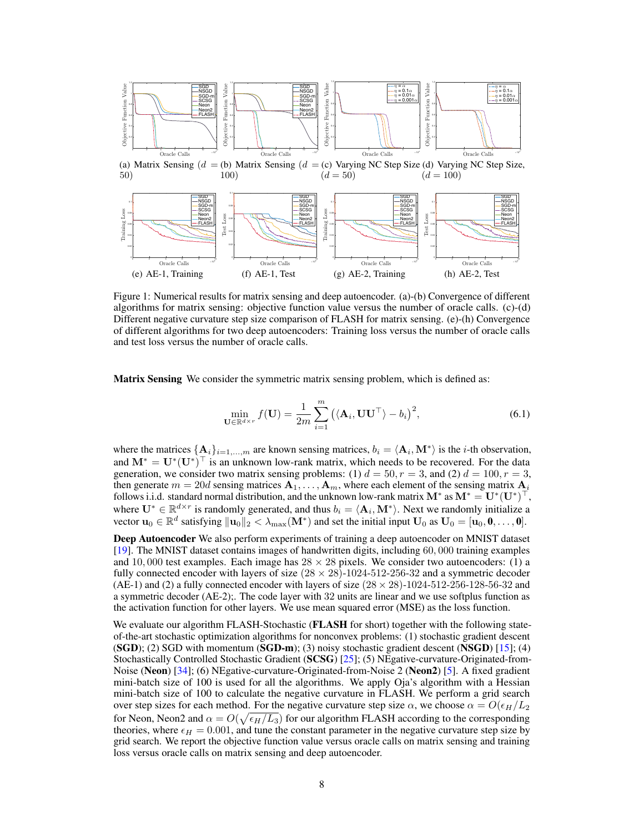

(a) Matrix Sensing  $(d = (b)$  Matrix Sensing  $(d = (c)$  Varying NC Step Size  $(d)$  Varying NC Step Size, 50) 100)  $(d = 50)$  $(d = 100)$ 



Figure 1: Numerical results for matrix sensing and deep autoencoder. (a)-(b) Convergence of different algorithms for matrix sensing: objective function value versus the number of oracle calls. (c)-(d) Different negative curvature step size comparison of FLASH for matrix sensing. (e)-(h) Convergence of different algorithms for two deep autoencoders: Training loss versus the number of oracle calls and test loss versus the number of oracle calls.

Matrix Sensing We consider the symmetric matrix sensing problem, which is defined as:

$$
\min_{\mathbf{U} \in \mathbb{R}^{d \times r}} f(\mathbf{U}) = \frac{1}{2m} \sum_{i=1}^{m} \left( \langle \mathbf{A}_i, \mathbf{U} \mathbf{U}^{\top} \rangle - b_i \right)^2, \tag{6.1}
$$

where the matrices  $\{A_i\}_{i=1,\dots,m}$  are known sensing matrices,  $b_i = \langle A_i, M^* \rangle$  is the *i*-th observation, and  $M^* = U^*(U^*)^\top$  is an unknown low-rank matrix, which needs to be recovered. For the data generation, we consider two matrix sensing problems: (1)  $d = 50$ ,  $r = 3$ , and (2)  $d = 100$ ,  $r = 3$ , then generate  $m = 20d$  sensing matrices  $A_1, \ldots, A_m$ , where each element of the sensing matrix  $A_i$ follows i.i.d. standard normal distribution, and the unknown low-rank matrix  $M^*$  as  $M^* = U^*(U^*)^\top$ , where  $\mathbf{U}^* \in \mathbb{R}^{d \times r}$  is randomly generated, and thus  $b_i = \langle \mathbf{A}_i, \mathbf{M}^* \rangle$ . Next we randomly initialize a vector  $\mathbf{u}_0 \in \mathbb{R}^d$  satisfying  $\|\mathbf{u}_0\|_2 < \lambda_{\max}(\mathbf{M}^*)$  and set the initial input  $\mathbf{U}_0$  as  $\mathbf{U}_0 = [\mathbf{u}_0, \mathbf{0}, \dots, \mathbf{0}].$ 

Deep Autoencoder We also perform experiments of training a deep autoencoder on MNIST dataset [19]. The MNIST dataset contains images of handwritten digits, including 60*,* 000 training examples and 10,000 test examples. Each image has  $28 \times 28$  pixels. We consider two autoencoders: (1) a fully connected encoder with layers of size  $(28 \times 28)$ -1024-512-256-32 and a symmetric decoder (AE-1) and (2) a fully connected encoder with layers of size  $(28 \times 28)$ -1024-512-256-128-56-32 and a symmetric decoder (AE-2);. The code layer with 32 units are linear and we use softplus function as the activation function for other layers. We use mean squared error (MSE) as the loss function.

We evaluate our algorithm FLASH-Stochastic (FLASH for short) together with the following stateof-the-art stochastic optimization algorithms for nonconvex problems: (1) stochastic gradient descent  $(SGD)$ ; (2) SGD with momentum  $(SGD-m)$ ; (3) noisy stochastic gradient descent  $(NSGD)$  [15]; (4) Stochastically Controlled Stochastic Gradient (SCSG) [25]; (5) NEgative-curvature-Originated-from-Noise (Neon) [34]; (6) NEgative-curvature-Originated-from-Noise 2 (Neon2) [5]. A fixed gradient mini-batch size of 100 is used for all the algorithms. We apply Oja's algorithm with a Hessian mini-batch size of 100 to calculate the negative curvature in FLASH. We perform a grid search over step sizes for each method. For the negative curvature step size  $\alpha$ , we choose  $\alpha = O(\epsilon_H/L_2)$ for Neon, Neon2 and  $\alpha = O(\sqrt{\epsilon_H/L_3})$  for our algorithm FLASH according to the corresponding theories, where  $\epsilon_H = 0.001$ , and tune the constant parameter in the negative curvature step size by grid search. We report the objective function value versus oracle calls on matrix sensing and training loss versus oracle calls on matrix sensing and deep autoencoder.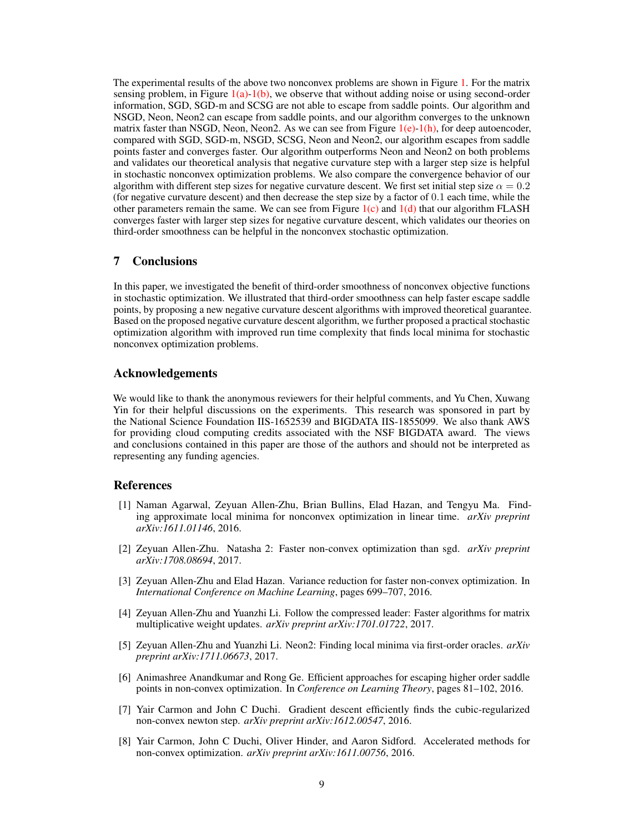The experimental results of the above two nonconvex problems are shown in Figure 1. For the matrix sensing problem, in Figure  $1(a)-1(b)$ , we observe that without adding noise or using second-order information, SGD, SGD-m and SCSG are not able to escape from saddle points. Our algorithm and NSGD, Neon, Neon2 can escape from saddle points, and our algorithm converges to the unknown matrix faster than NSGD, Neon, Neon2. As we can see from Figure  $1(e)-1(h)$ , for deep autoencoder, compared with SGD, SGD-m, NSGD, SCSG, Neon and Neon2, our algorithm escapes from saddle points faster and converges faster. Our algorithm outperforms Neon and Neon2 on both problems and validates our theoretical analysis that negative curvature step with a larger step size is helpful in stochastic nonconvex optimization problems. We also compare the convergence behavior of our algorithm with different step sizes for negative curvature descent. We first set initial step size  $\alpha = 0.2$ (for negative curvature descent) and then decrease the step size by a factor of 0*.*1 each time, while the other parameters remain the same. We can see from Figure  $1(c)$  and  $1(d)$  that our algorithm FLASH converges faster with larger step sizes for negative curvature descent, which validates our theories on third-order smoothness can be helpful in the nonconvex stochastic optimization.

#### 7 Conclusions

In this paper, we investigated the benefit of third-order smoothness of nonconvex objective functions in stochastic optimization. We illustrated that third-order smoothness can help faster escape saddle points, by proposing a new negative curvature descent algorithms with improved theoretical guarantee. Based on the proposed negative curvature descent algorithm, we further proposed a practical stochastic optimization algorithm with improved run time complexity that finds local minima for stochastic nonconvex optimization problems.

#### Acknowledgements

We would like to thank the anonymous reviewers for their helpful comments, and Yu Chen, Xuwang Yin for their helpful discussions on the experiments. This research was sponsored in part by the National Science Foundation IIS-1652539 and BIGDATA IIS-1855099. We also thank AWS for providing cloud computing credits associated with the NSF BIGDATA award. The views and conclusions contained in this paper are those of the authors and should not be interpreted as representing any funding agencies.

#### References

- [1] Naman Agarwal, Zeyuan Allen-Zhu, Brian Bullins, Elad Hazan, and Tengyu Ma. Finding approximate local minima for nonconvex optimization in linear time. *arXiv preprint arXiv:1611.01146*, 2016.
- [2] Zeyuan Allen-Zhu. Natasha 2: Faster non-convex optimization than sgd. *arXiv preprint arXiv:1708.08694*, 2017.
- [3] Zeyuan Allen-Zhu and Elad Hazan. Variance reduction for faster non-convex optimization. In *International Conference on Machine Learning*, pages 699–707, 2016.
- [4] Zeyuan Allen-Zhu and Yuanzhi Li. Follow the compressed leader: Faster algorithms for matrix multiplicative weight updates. *arXiv preprint arXiv:1701.01722*, 2017.
- [5] Zeyuan Allen-Zhu and Yuanzhi Li. Neon2: Finding local minima via first-order oracles. *arXiv preprint arXiv:1711.06673*, 2017.
- [6] Animashree Anandkumar and Rong Ge. Efficient approaches for escaping higher order saddle points in non-convex optimization. In *Conference on Learning Theory*, pages 81–102, 2016.
- [7] Yair Carmon and John C Duchi. Gradient descent efficiently finds the cubic-regularized non-convex newton step. *arXiv preprint arXiv:1612.00547*, 2016.
- [8] Yair Carmon, John C Duchi, Oliver Hinder, and Aaron Sidford. Accelerated methods for non-convex optimization. *arXiv preprint arXiv:1611.00756*, 2016.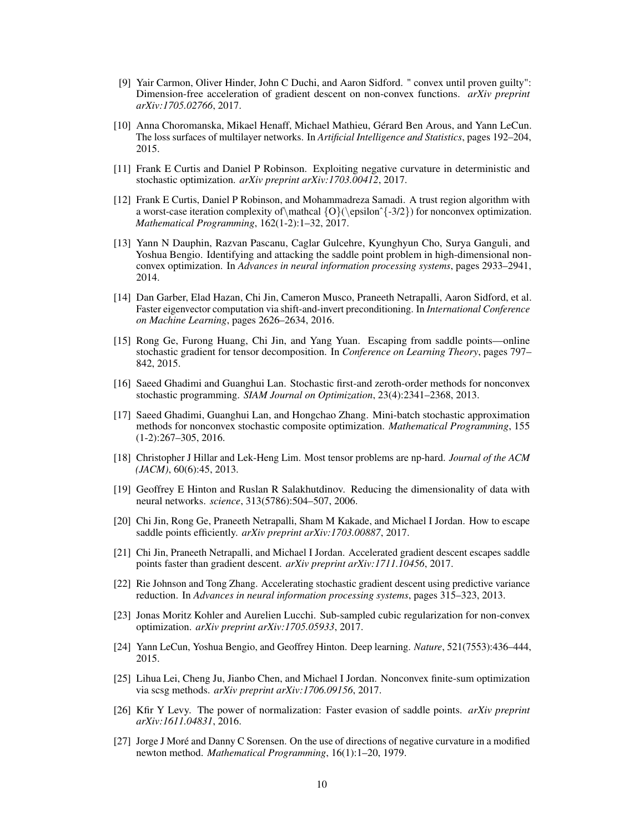- [9] Yair Carmon, Oliver Hinder, John C Duchi, and Aaron Sidford. " convex until proven guilty": Dimension-free acceleration of gradient descent on non-convex functions. *arXiv preprint arXiv:1705.02766*, 2017.
- [10] Anna Choromanska, Mikael Henaff, Michael Mathieu, Gérard Ben Arous, and Yann LeCun. The loss surfaces of multilayer networks. In *Artificial Intelligence and Statistics*, pages 192–204, 2015.
- [11] Frank E Curtis and Daniel P Robinson. Exploiting negative curvature in deterministic and stochastic optimization. *arXiv preprint arXiv:1703.00412*, 2017.
- [12] Frank E Curtis, Daniel P Robinson, and Mohammadreza Samadi. A trust region algorithm with a worst-case iteration complexity of  $\mathcal{O}(\epsilon^{3/2})$  for nonconvex optimization. *Mathematical Programming*, 162(1-2):1–32, 2017.
- [13] Yann N Dauphin, Razvan Pascanu, Caglar Gulcehre, Kyunghyun Cho, Surya Ganguli, and Yoshua Bengio. Identifying and attacking the saddle point problem in high-dimensional nonconvex optimization. In *Advances in neural information processing systems*, pages 2933–2941, 2014.
- [14] Dan Garber, Elad Hazan, Chi Jin, Cameron Musco, Praneeth Netrapalli, Aaron Sidford, et al. Faster eigenvector computation via shift-and-invert preconditioning. In *International Conference on Machine Learning*, pages 2626–2634, 2016.
- [15] Rong Ge, Furong Huang, Chi Jin, and Yang Yuan. Escaping from saddle points—online stochastic gradient for tensor decomposition. In *Conference on Learning Theory*, pages 797– 842, 2015.
- [16] Saeed Ghadimi and Guanghui Lan. Stochastic first-and zeroth-order methods for nonconvex stochastic programming. *SIAM Journal on Optimization*, 23(4):2341–2368, 2013.
- [17] Saeed Ghadimi, Guanghui Lan, and Hongchao Zhang. Mini-batch stochastic approximation methods for nonconvex stochastic composite optimization. *Mathematical Programming*, 155 (1-2):267–305, 2016.
- [18] Christopher J Hillar and Lek-Heng Lim. Most tensor problems are np-hard. *Journal of the ACM (JACM)*, 60(6):45, 2013.
- [19] Geoffrey E Hinton and Ruslan R Salakhutdinov. Reducing the dimensionality of data with neural networks. *science*, 313(5786):504–507, 2006.
- [20] Chi Jin, Rong Ge, Praneeth Netrapalli, Sham M Kakade, and Michael I Jordan. How to escape saddle points efficiently. *arXiv preprint arXiv:1703.00887*, 2017.
- [21] Chi Jin, Praneeth Netrapalli, and Michael I Jordan. Accelerated gradient descent escapes saddle points faster than gradient descent. *arXiv preprint arXiv:1711.10456*, 2017.
- [22] Rie Johnson and Tong Zhang. Accelerating stochastic gradient descent using predictive variance reduction. In *Advances in neural information processing systems*, pages 315–323, 2013.
- [23] Jonas Moritz Kohler and Aurelien Lucchi. Sub-sampled cubic regularization for non-convex optimization. *arXiv preprint arXiv:1705.05933*, 2017.
- [24] Yann LeCun, Yoshua Bengio, and Geoffrey Hinton. Deep learning. *Nature*, 521(7553):436–444, 2015.
- [25] Lihua Lei, Cheng Ju, Jianbo Chen, and Michael I Jordan. Nonconvex finite-sum optimization via scsg methods. *arXiv preprint arXiv:1706.09156*, 2017.
- [26] Kfir Y Levy. The power of normalization: Faster evasion of saddle points. *arXiv preprint arXiv:1611.04831*, 2016.
- [27] Jorge J Moré and Danny C Sorensen. On the use of directions of negative curvature in a modified newton method. *Mathematical Programming*, 16(1):1–20, 1979.